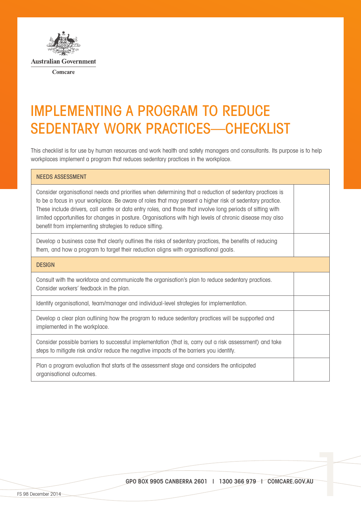

## IMPLEMENTING A PROGRAM TO REDUCE SEDENTARY WORK PRACTICES—CHECKLIST

This checklist is for use by human resources and work health and safety managers and consultants. Its purpose is to help workplaces implement a program that reduces sedentary practices in the workplace.

| <b>NEEDS ASSESSMENT</b>                                                                                                                                                                                                                                                                                                                                                                                                                                                                                    |  |
|------------------------------------------------------------------------------------------------------------------------------------------------------------------------------------------------------------------------------------------------------------------------------------------------------------------------------------------------------------------------------------------------------------------------------------------------------------------------------------------------------------|--|
| Consider organisational needs and priorities when determining that a reduction of sedentary practices is<br>to be a focus in your workplace. Be aware of roles that may present a higher risk of sedentary practice.<br>These include drivers, call centre or data entry roles, and those that involve long periods of sitting with<br>limited opportunities for changes in posture. Organisations with high levels of chronic disease may also<br>benefit from implementing strategies to reduce sitting. |  |
| Develop a business case that clearly outlines the risks of sedentary practices, the benefits of reducing<br>them, and how a program to target their reduction aligns with organisational goals.                                                                                                                                                                                                                                                                                                            |  |
| <b>DESIGN</b>                                                                                                                                                                                                                                                                                                                                                                                                                                                                                              |  |
| Consult with the workforce and communicate the organisation's plan to reduce sedentary practices.<br>Consider workers' feedback in the plan.                                                                                                                                                                                                                                                                                                                                                               |  |
| Identify organisational, team/manager and individual-level strategies for implementation.                                                                                                                                                                                                                                                                                                                                                                                                                  |  |
| Develop a clear plan outlining how the program to reduce sedentary practices will be supported and<br>implemented in the workplace.                                                                                                                                                                                                                                                                                                                                                                        |  |
| Consider possible barriers to successful implementation (that is, carry out a risk assessment) and take<br>steps to mitigate risk and/or reduce the negative impacts of the barriers you identify.                                                                                                                                                                                                                                                                                                         |  |
| Plan a program evaluation that starts at the assessment stage and considers the anticipated<br>organisational outcomes.                                                                                                                                                                                                                                                                                                                                                                                    |  |